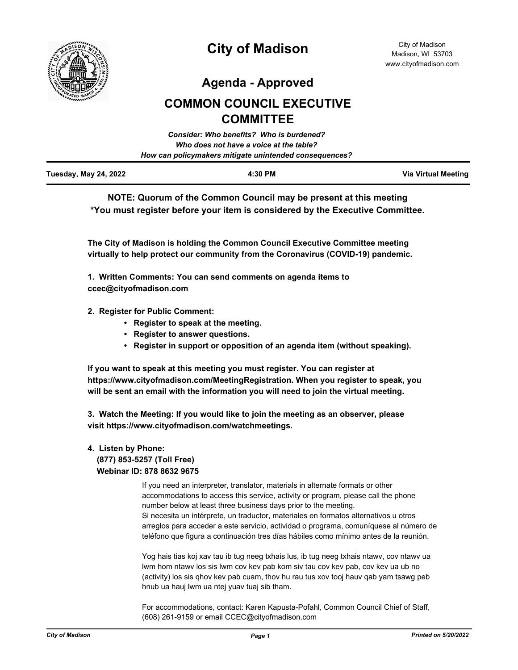

**Agenda - Approved**

# **COMMON COUNCIL EXECUTIVE COMMITTEE**

|                       | Consider: Who benefits? Who is burdened?               |                     |
|-----------------------|--------------------------------------------------------|---------------------|
|                       | Who does not have a voice at the table?                |                     |
|                       | How can policymakers mitigate unintended consequences? |                     |
| Tuesday, May 24, 2022 | 4:30 PM                                                | Via Virtual Meeting |

**NOTE: Quorum of the Common Council may be present at this meeting \*You must register before your item is considered by the Executive Committee.**

**The City of Madison is holding the Common Council Executive Committee meeting virtually to help protect our community from the Coronavirus (COVID-19) pandemic.**

**1. Written Comments: You can send comments on agenda items to ccec@cityofmadison.com**

- **2. Register for Public Comment:** 
	- **Register to speak at the meeting.**
	- **Register to answer questions.**
	- **Register in support or opposition of an agenda item (without speaking).**

**If you want to speak at this meeting you must register. You can register at https://www.cityofmadison.com/MeetingRegistration. When you register to speak, you will be sent an email with the information you will need to join the virtual meeting.**

**3. Watch the Meeting: If you would like to join the meeting as an observer, please visit https://www.cityofmadison.com/watchmeetings.**

# **4. Listen by Phone:**

 **(877) 853-5257 (Toll Free) Webinar ID: 878 8632 9675**

> If you need an interpreter, translator, materials in alternate formats or other accommodations to access this service, activity or program, please call the phone number below at least three business days prior to the meeting. Si necesita un intérprete, un traductor, materiales en formatos alternativos u otros arreglos para acceder a este servicio, actividad o programa, comuníquese al número de teléfono que figura a continuación tres días hábiles como mínimo antes de la reunión.

Yog hais tias koj xav tau ib tug neeg txhais lus, ib tug neeg txhais ntawv, cov ntawv ua lwm hom ntawv los sis lwm cov kev pab kom siv tau cov kev pab, cov kev ua ub no (activity) los sis qhov kev pab cuam, thov hu rau tus xov tooj hauv qab yam tsawg peb hnub ua hauj lwm ua ntej yuav tuaj sib tham.

For accommodations, contact: Karen Kapusta-Pofahl, Common Council Chief of Staff, (608) 261-9159 or email CCEC@cityofmadison.com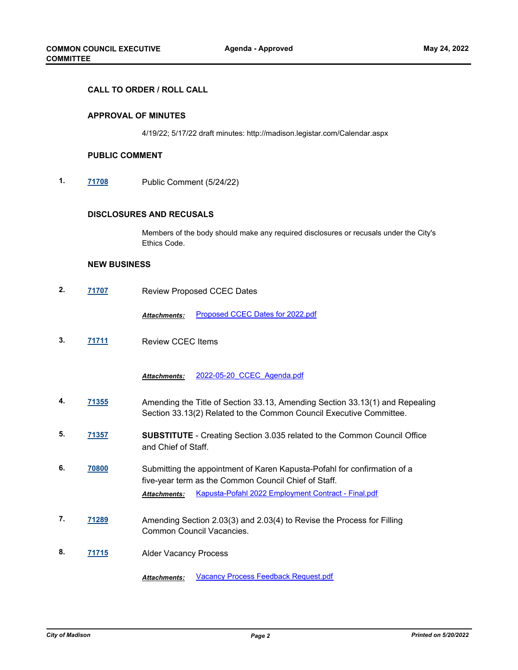## **CALL TO ORDER / ROLL CALL**

## **APPROVAL OF MINUTES**

4/19/22; 5/17/22 draft minutes: http://madison.legistar.com/Calendar.aspx

#### **PUBLIC COMMENT**

**1. [71708](http://madison.legistar.com/gateway.aspx?m=l&id=/matter.aspx?key=83575)** Public Comment (5/24/22)

#### **DISCLOSURES AND RECUSALS**

Members of the body should make any required disclosures or recusals under the City's Ethics Code.

#### **NEW BUSINESS**

**2. [71707](http://madison.legistar.com/gateway.aspx?m=l&id=/matter.aspx?key=83574)** Review Proposed CCEC Dates

*Attachments:* [Proposed CCEC Dates for 2022.pdf](http://madison.legistar.com/gateway.aspx?M=F&ID=4f174c3e-6f71-4871-822a-0dc4f64e2841.pdf)

**3. [71711](http://madison.legistar.com/gateway.aspx?m=l&id=/matter.aspx?key=83578)** Review CCEC Items

*Attachments:* [2022-05-20\\_CCEC\\_Agenda.pdf](http://madison.legistar.com/gateway.aspx?M=F&ID=6c8adbec-8446-4c23-b8a8-95f6524703df.pdf)

- **4. [71355](http://madison.legistar.com/gateway.aspx?m=l&id=/matter.aspx?key=83294)** Amending the Title of Section 33.13, Amending Section 33.13(1) and Repealing Section 33.13(2) Related to the Common Council Executive Committee.
- **5. [71357](http://madison.legistar.com/gateway.aspx?m=l&id=/matter.aspx?key=83296) SUBSTITUTE** Creating Section 3.035 related to the Common Council Office and Chief of Staff.
- **6. [70800](http://madison.legistar.com/gateway.aspx?m=l&id=/matter.aspx?key=82812)** Submitting the appointment of Karen Kapusta-Pofahl for confirmation of a five-year term as the Common Council Chief of Staff. *Attachments:* [Kapusta-Pofahl 2022 Employment Contract - Final.pdf](http://madison.legistar.com/gateway.aspx?M=F&ID=e2bfd3f3-fea6-4c68-be52-ab2d401a81ab.pdf)
- **7. [71289](http://madison.legistar.com/gateway.aspx?m=l&id=/matter.aspx?key=83230)** Amending Section 2.03(3) and 2.03(4) to Revise the Process for Filling Common Council Vacancies.
- **8. [71715](http://madison.legistar.com/gateway.aspx?m=l&id=/matter.aspx?key=83582)** Alder Vacancy Process

*Attachments:* [Vacancy Process Feedback Request.pdf](http://madison.legistar.com/gateway.aspx?M=F&ID=8e8d9bcc-ab24-431a-9136-ab1ca4bd96fd.pdf)